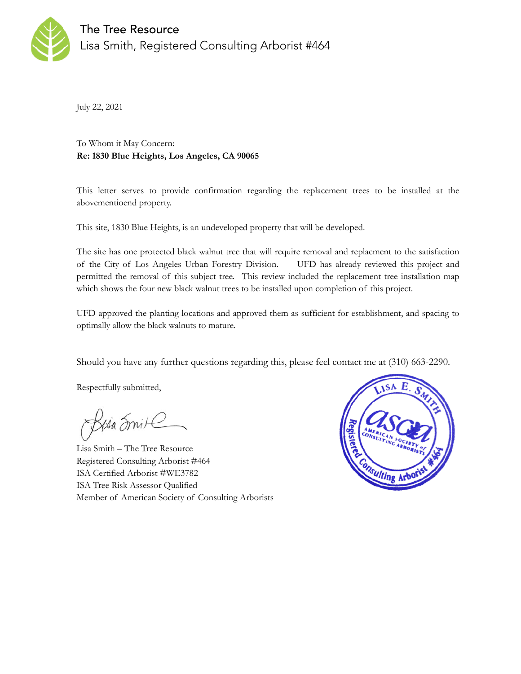

July 22, 2021

To Whom it May Concern: **Re: 1830 Blue Heights, Los Angeles, CA 90065** 

This letter serves to provide confirmation regarding the replacement trees to be installed at the abovementioend property.

This site, 1830 Blue Heights, is an undeveloped property that will be developed.

The site has one protected black walnut tree that will require removal and replacment to the satisfaction of the City of Los Angeles Urban Forestry Division. UFD has already reviewed this project and permitted the removal of this subject tree. This review included the replacement tree installation map which shows the four new black walnut trees to be installed upon completion of this project.

UFD approved the planting locations and approved them as sufficient for establishment, and spacing to optimally allow the black walnuts to mature.

Should you have any further questions regarding this, please feel contact me at (310) 663-2290.

Respectfully submitted,

Rusa Smite

Lisa Smith – The Tree Resource Registered Consulting Arborist #464 ISA Certified Arborist #WE3782 ISA Tree Risk Assessor Qualified Member of American Society of Consulting Arborists